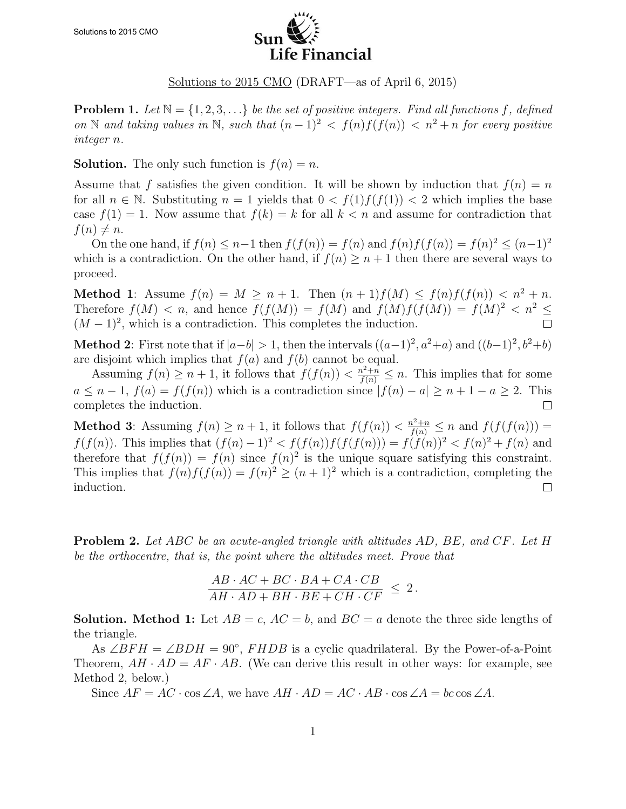

## Solutions to 2015 CMO (DRAFT—as of April 6, 2015)

**Problem 1.** Let  $\mathbb{N} = \{1, 2, 3, ...\}$  be the set of positive integers. Find all functions f, defined on N and taking values in N, such that  $(n-1)^2 < f(n)f(f(n)) < n^2+n$  for every positive integer n.

## **Solution.** The only such function is  $f(n) = n$ .

Assume that f satisfies the given condition. It will be shown by induction that  $f(n) = n$ for all  $n \in \mathbb{N}$ . Substituting  $n = 1$  yields that  $0 < f(1)f(f(1)) < 2$  which implies the base case  $f(1) = 1$ . Now assume that  $f(k) = k$  for all  $k < n$  and assume for contradiction that  $f(n) \neq n$ .

On the one hand, if  $f(n) \leq n-1$  then  $f(f(n)) = f(n)$  and  $f(n)f(f(n)) = f(n)^2 \leq (n-1)^2$ which is a contradiction. On the other hand, if  $f(n) \geq n+1$  then there are several ways to proceed.

**Method 1:** Assume  $f(n) = M \ge n + 1$ . Then  $(n + 1)f(M) \le f(n)f(f(n)) < n^2 + n$ . Therefore  $f(M) < n$ , and hence  $f(f(M)) = f(M)$  and  $f(M)f(f(M)) = f(M)^2 < n^2 \le$  $(M-1)^2$ , which is a contradiction. This completes the induction.

**Method 2:** First note that if  $|a-b| > 1$ , then the intervals  $((a-1)^2, a^2+a)$  and  $((b-1)^2, b^2+b)$ are disjoint which implies that  $f(a)$  and  $f(b)$  cannot be equal.

Assuming  $f(n) \geq n+1$ , it follows that  $f(f(n)) < \frac{n^2+n}{f(n)} \leq n$ . This implies that for some  $a \leq n-1$ ,  $f(a) = f(f(n))$  which is a contradiction since  $|f(n) - a| \geq n+1 - a \geq 2$ . This completes the induction.  $\Box$ 

**Method 3**: Assuming  $f(n) \ge n+1$ , it follows that  $f(f(n)) < \frac{n^2+n}{f(n)} \le n$  and  $f(f(f(n)))$  $f(f(n))$ . This implies that  $(f(n)-1)^2 < f(f(n))f(f(f(n))) = f(f(n))^2 < f(n)^2 + f(n)$  and therefore that  $f(f(n)) = f(n)$  since  $f(n)^2$  is the unique square satisfying this constraint. This implies that  $f(n)f(f(n)) = f(n)^2 \ge (n+1)^2$  which is a contradiction, completing the induction.  $\Box$ 

**Problem 2.** Let ABC be an acute-angled triangle with altitudes AD, BE, and CF. Let H be the orthocentre, that is, the point where the altitudes meet. Prove that

$$
\frac{AB \cdot AC + BC \cdot BA + CA \cdot CB}{AH \cdot AD + BH \cdot BE + CH \cdot CF} \leq 2.
$$

**Solution.** Method 1: Let  $AB = c$ ,  $AC = b$ , and  $BC = a$  denote the three side lengths of the triangle.

As  $\angle BFH = \angle BDH = 90^\circ$ , FHDB is a cyclic quadrilateral. By the Power-of-a-Point Theorem,  $AH \cdot AD = AF \cdot AB$ . (We can derive this result in other ways: for example, see Method 2, below.)

Since  $AF = AC \cdot \cos \angle A$ , we have  $AH \cdot AD = AC \cdot AB \cdot \cos \angle A = bc \cos \angle A$ .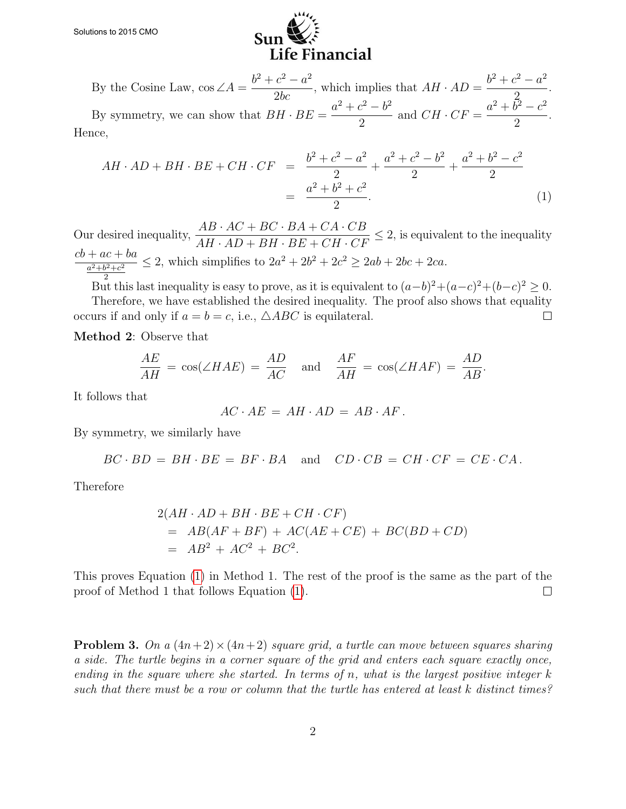Solutions to 2015 CMO



By the Cosine Law,  $\cos \angle A = \frac{b^2 + c^2 - a^2}{2}$  $\frac{c^2 - a^2}{2bc}$ , which implies that  $AH \cdot AD = \frac{b^2 + c^2 - a^2}{2}$ 2 . By symmetry, we can show that  $BH \cdot BE = \frac{a^2 + c^2 - b^2}{2}$ 2 and  $CH \cdot CF = \frac{a^2 + \overline{b^2} - c^2}{2}$ 2 . Hence,

<span id="page-1-0"></span>
$$
AH \cdot AD + BH \cdot BE + CH \cdot CF = \frac{b^2 + c^2 - a^2}{2} + \frac{a^2 + c^2 - b^2}{2} + \frac{a^2 + b^2 - c^2}{2}
$$

$$
= \frac{a^2 + b^2 + c^2}{2}.
$$
 (1)

Our desired inequality,  $\frac{AB \cdot AC + BC \cdot BA + CA \cdot CB}{AB \cdot AB + BC \cdot BA + CA \cdot CB}$  $\frac{AB}{AH \cdot AD + BH \cdot BE + CH \cdot CF} \leq 2$ , is equivalent to the inequality  $cb + ac + ba$  $\frac{a^2 + b^2 + c^2}{a^2 + b^2 + c^2} \le 2$ , which simplifies to  $2a^2 + 2b^2 + 2c^2 \ge 2ab + 2bc + 2ca$ .

But this last inequality is easy to prove, as it is equivalent to  $(a-b)^2 + (a-c)^2 + (b-c)^2 \ge 0$ . Therefore, we have established the desired inequality. The proof also shows that equality occurs if and only if  $a = b = c$ , i.e.,  $\triangle ABC$  is equilateral.  $\Box$ 

Method 2: Observe that

$$
\frac{AE}{AH} = \cos(\angle HAE) = \frac{AD}{AC} \quad \text{and} \quad \frac{AF}{AH} = \cos(\angle HAF) = \frac{AD}{AB}.
$$

It follows that

$$
AC \cdot AE = AH \cdot AD = AB \cdot AF.
$$

By symmetry, we similarly have

 $BC \cdot BD = BH \cdot BE = BF \cdot BA$  and  $CD \cdot CB = CH \cdot CF = CE \cdot CA$ .

Therefore

$$
2(AH \cdot AD + BH \cdot BE + CH \cdot CF)
$$
  
=  $AB(AF + BF) + AC(AE + CE) + BC(BD + CD)$   
=  $AB^2 + AC^2 + BC^2$ .

This proves Equation [\(1\)](#page-1-0) in Method 1. The rest of the proof is the same as the part of the proof of Method 1 that follows Equation [\(1\)](#page-1-0).  $\Box$ 

**Problem 3.** On a  $(4n+2) \times (4n+2)$  square grid, a turtle can move between squares sharing a side. The turtle begins in a corner square of the grid and enters each square exactly once, ending in the square where she started. In terms of n, what is the largest positive integer  $k$ such that there must be a row or column that the turtle has entered at least k distinct times?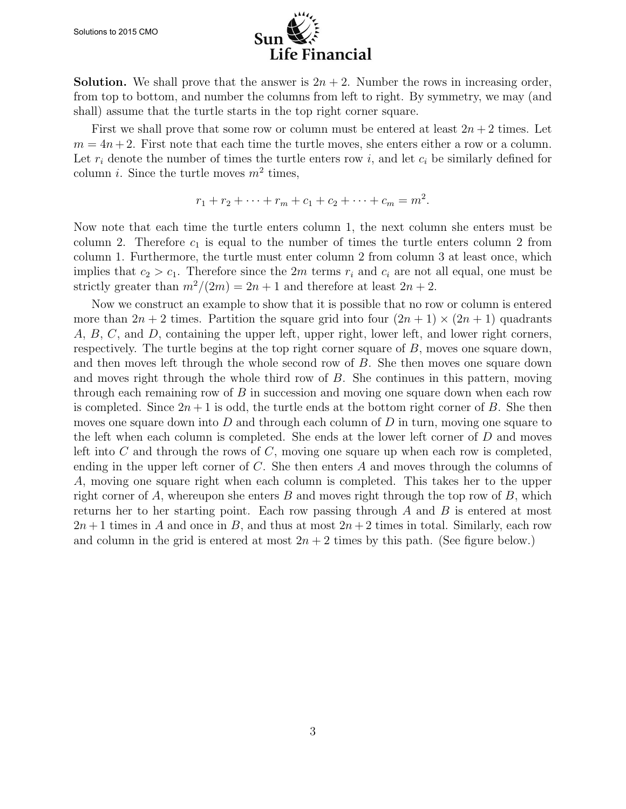

**Solution.** We shall prove that the answer is  $2n + 2$ . Number the rows in increasing order, from top to bottom, and number the columns from left to right. By symmetry, we may (and shall) assume that the turtle starts in the top right corner square.

First we shall prove that some row or column must be entered at least  $2n + 2$  times. Let  $m = 4n + 2$ . First note that each time the turtle moves, she enters either a row or a column. Let  $r_i$  denote the number of times the turtle enters row i, and let  $c_i$  be similarly defined for column *i*. Since the turtle moves  $m^2$  times,

$$
r_1 + r_2 + \dots + r_m + c_1 + c_2 + \dots + c_m = m^2.
$$

Now note that each time the turtle enters column 1, the next column she enters must be column 2. Therefore  $c_1$  is equal to the number of times the turtle enters column 2 from column 1. Furthermore, the turtle must enter column 2 from column 3 at least once, which implies that  $c_2 > c_1$ . Therefore since the 2m terms  $r_i$  and  $c_i$  are not all equal, one must be strictly greater than  $m^2/(2m) = 2n + 1$  and therefore at least  $2n + 2$ .

Now we construct an example to show that it is possible that no row or column is entered more than  $2n + 2$  times. Partition the square grid into four  $(2n + 1) \times (2n + 1)$  quadrants A, B, C, and D, containing the upper left, upper right, lower left, and lower right corners, respectively. The turtle begins at the top right corner square of  $B$ , moves one square down, and then moves left through the whole second row of B. She then moves one square down and moves right through the whole third row of B. She continues in this pattern, moving through each remaining row of B in succession and moving one square down when each row is completed. Since  $2n+1$  is odd, the turtle ends at the bottom right corner of B. She then moves one square down into  $D$  and through each column of  $D$  in turn, moving one square to the left when each column is completed. She ends at the lower left corner of  $D$  and moves left into  $C$  and through the rows of  $C$ , moving one square up when each row is completed, ending in the upper left corner of  $C$ . She then enters  $A$  and moves through the columns of A, moving one square right when each column is completed. This takes her to the upper right corner of A, whereupon she enters B and moves right through the top row of B, which returns her to her starting point. Each row passing through A and B is entered at most  $2n+1$  times in A and once in B, and thus at most  $2n+2$  times in total. Similarly, each row and column in the grid is entered at most  $2n + 2$  times by this path. (See figure below.)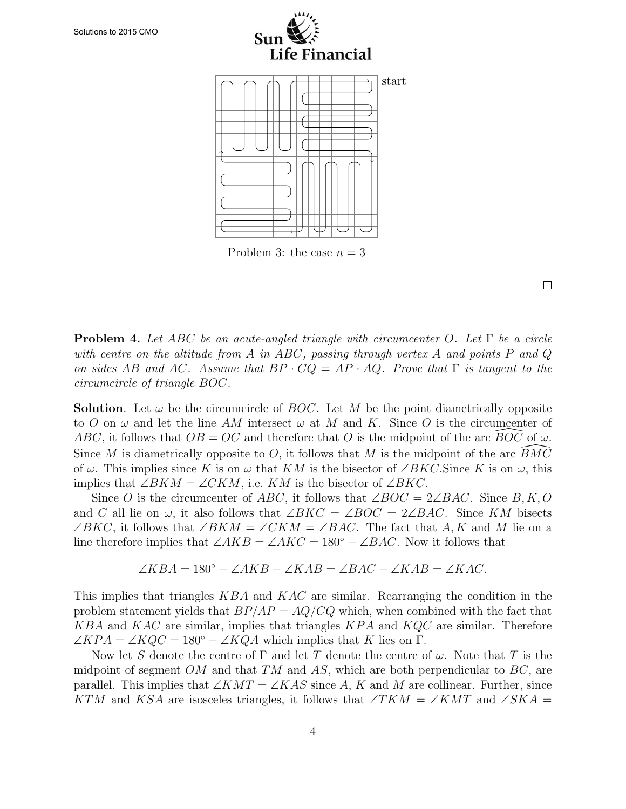

Problem 3: the case  $n = 3$ 

 $\Box$ 

**Problem 4.** Let ABC be an acute-angled triangle with circumcenter O. Let  $\Gamma$  be a circle with centre on the altitude from A in ABC, passing through vertex A and points P and Q on sides AB and AC. Assume that  $BP \cdot CQ = AP \cdot AQ$ . Prove that  $\Gamma$  is tangent to the circumcircle of triangle BOC.

**Solution**. Let  $\omega$  be the circumcircle of BOC. Let M be the point diametrically opposite to O on  $\omega$  and let the line AM intersect  $\omega$  at M and K. Since O is the circumcenter of ABC, it follows that  $OB = OC$  and therefore that O is the midpoint of the arc BOC of  $\omega$ . Since M is diametrically opposite to O, it follows that M is the midpoint of the arc  $BMC$ of  $\omega$ . This implies since K is on  $\omega$  that KM is the bisector of  $\angle BKC$ . Since K is on  $\omega$ , this implies that  $\angle BKM = \angle CKM$ , i.e. KM is the bisector of  $\angle BKC$ .

Since O is the circumcenter of ABC, it follows that  $\angle BOC = 2\angle BAC$ . Since B, K, O and C all lie on  $\omega$ , it also follows that  $\angle BKC = \angle BOC = 2\angle BAC$ . Since KM bisects  $\angle BKC$ , it follows that  $\angle BKM = \angle CKM = \angle BAC$ . The fact that A, K and M lie on a line therefore implies that  $\angle AKB = \angle AKC = 180^{\circ} - \angle BAC$ . Now it follows that

$$
\angle KBA = 180^\circ - \angle AKB - \angle KAB = \angle BAC - \angle KAB = \angle KAC.
$$

This implies that triangles KBA and KAC are similar. Rearranging the condition in the problem statement yields that  $BP/AP = AQ/CQ$  which, when combined with the fact that  $KBA$  and  $KAC$  are similar, implies that triangles  $KPA$  and  $KQC$  are similar. Therefore  $\angle KPA = \angle KQC = 180^\circ - \angle KQA$  which implies that K lies on  $\Gamma$ .

Now let S denote the centre of  $\Gamma$  and let T denote the centre of  $\omega$ . Note that T is the midpoint of segment  $OM$  and that  $TM$  and AS, which are both perpendicular to  $BC$ , are parallel. This implies that  $\angle KMT = \angle KAS$  since A, K and M are collinear. Further, since KTM and KSA are isosceles triangles, it follows that  $\angle TKM = \angle KMT$  and  $\angle SKA =$